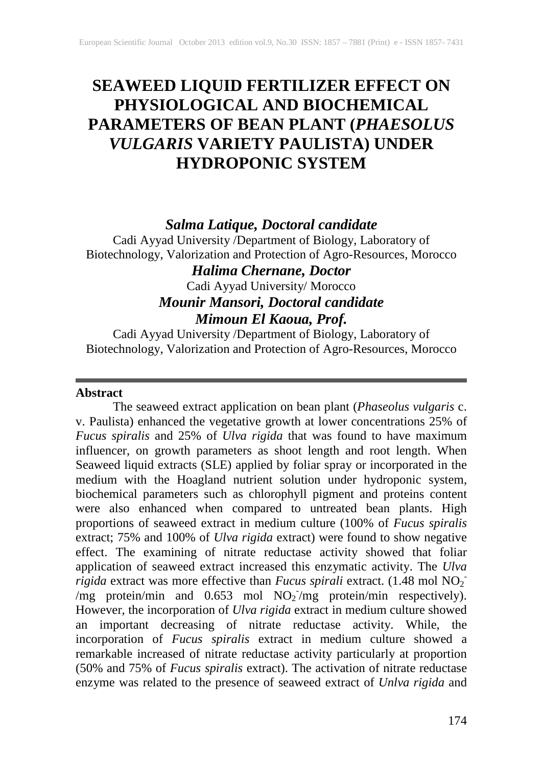# **SEAWEED LIQUID FERTILIZER EFFECT ON PHYSIOLOGICAL AND BIOCHEMICAL PARAMETERS OF BEAN PLANT (***PHAESOLUS VULGARIS* **VARIETY PAULISTA) UNDER HYDROPONIC SYSTEM**

# *Salma Latique, Doctoral candidate*

Cadi Ayyad University /Department of Biology, Laboratory of Biotechnology, Valorization and Protection of Agro-Resources, Morocco

# *Halima Chernane, Doctor*

Cadi Ayyad University/ Morocco

# *Mounir Mansori, Doctoral candidate Mimoun El Kaoua, Prof.*

Cadi Ayyad University /Department of Biology, Laboratory of Biotechnology, Valorization and Protection of Agro-Resources, Morocco

# **Abstract**

The seaweed extract application on bean plant (*Phaseolus vulgaris* c. v. Paulista) enhanced the vegetative growth at lower concentrations 25% of *Fucus spiralis* and 25% of *Ulva rigida* that was found to have maximum influencer, on growth parameters as shoot length and root length. When Seaweed liquid extracts (SLE) applied by foliar spray or incorporated in the medium with the Hoagland nutrient solution under hydroponic system, biochemical parameters such as chlorophyll pigment and proteins content were also enhanced when compared to untreated bean plants. High proportions of seaweed extract in medium culture (100% of *Fucus spiralis* extract; 75% and 100% of *Ulva rigida* extract) were found to show negative effect. The examining of nitrate reductase activity showed that foliar application of seaweed extract increased this enzymatic activity. The *Ulva rigida* extract was more effective than *Fucus spirali* extract. (1.48 mol NO<sub>2</sub><sup>-</sup> /mg protein/min and 0.653 mol  $NO<sub>2</sub>$ /mg protein/min respectively). However, the incorporation of *Ulva rigida* extract in medium culture showed an important decreasing of nitrate reductase activity. While, the incorporation of *Fucus spiralis* extract in medium culture showed a remarkable increased of nitrate reductase activity particularly at proportion (50% and 75% of *Fucus spiralis* extract). The activation of nitrate reductase enzyme was related to the presence of seaweed extract of *Unlva rigida* and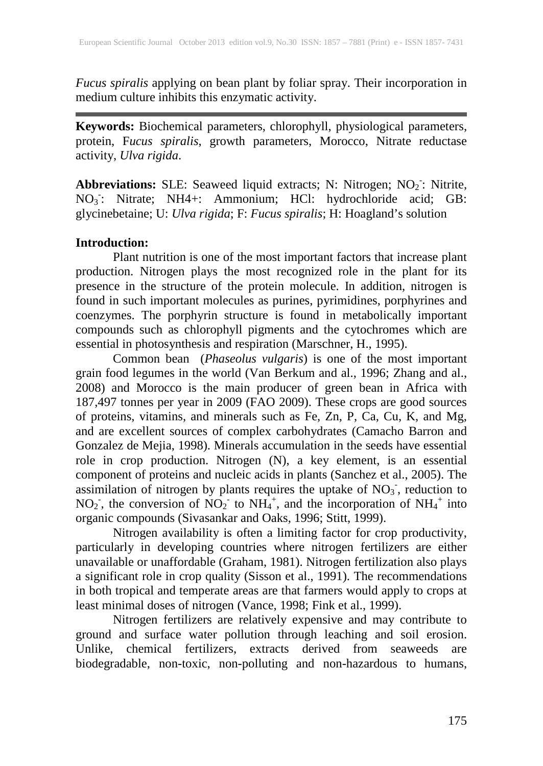*Fucus spiralis* applying on bean plant by foliar spray. Their incorporation in medium culture inhibits this enzymatic activity.

**Keywords:** Biochemical parameters, chlorophyll, physiological parameters, protein, F*ucus spiralis*, growth parameters, Morocco, Nitrate reductase activity, *Ulva rigida*.

Abbreviations: SLE: Seaweed liquid extracts; N: Nitrogen; NO<sub>2</sub>: Nitrite, NO<sub>3</sub>: Nitrate; NH4+: Ammonium; HCl: hydrochloride acid; GB: glycinebetaine; U: *Ulva rigida*; F: *Fucus spiralis*; H: Hoagland's solution

#### **Introduction:**

Plant nutrition is one of the most important factors that increase plant production. Nitrogen plays the most recognized role in the plant for its presence in the structure of the protein molecule. In addition, nitrogen is found in such important molecules as purines, pyrimidines, porphyrines and coenzymes. The porphyrin structure is found in metabolically important compounds such as chlorophyll pigments and the cytochromes which are essential in photosynthesis and respiration (Marschner, H., 1995).

Common bean (*Phaseolus vulgaris*) is one of the most important grain food legumes in the world (Van Berkum and al., 1996; Zhang and al., 2008) and Morocco is the main producer of green bean in Africa with 187,497 tonnes per year in 2009 (FAO 2009). These crops are good sources of proteins, vitamins, and minerals such as Fe, Zn, P, Ca, Cu, K, and Mg, and are excellent sources of complex carbohydrates (Camacho Barron and Gonzalez de Mejia, 1998). Minerals accumulation in the seeds have essential role in crop production. Nitrogen (N), a key element, is an essential component of proteins and nucleic acids in plants (Sanchez et al., 2005). The assimilation of nitrogen by plants requires the uptake of  $NO<sub>3</sub>$ , reduction to NO<sub>2</sub>, the conversion of NO<sub>2</sub> to NH<sub>4</sub><sup>+</sup>, and the incorporation of NH<sub>4</sub><sup>+</sup> into organic compounds (Sivasankar and Oaks, 1996; Stitt, 1999).

Nitrogen availability is often a limiting factor for crop productivity, particularly in developing countries where nitrogen fertilizers are either unavailable or unaffordable (Graham, 1981). Nitrogen fertilization also plays a significant role in crop quality (Sisson et al., 1991). The recommendations in both tropical and temperate areas are that farmers would apply to crops at least minimal doses of nitrogen (Vance, 1998; Fink et al., 1999).

Nitrogen fertilizers are relatively expensive and may contribute to ground and surface water pollution through leaching and soil erosion. Unlike, chemical fertilizers, extracts derived from seaweeds are biodegradable, non-toxic, non-polluting and non-hazardous to humans,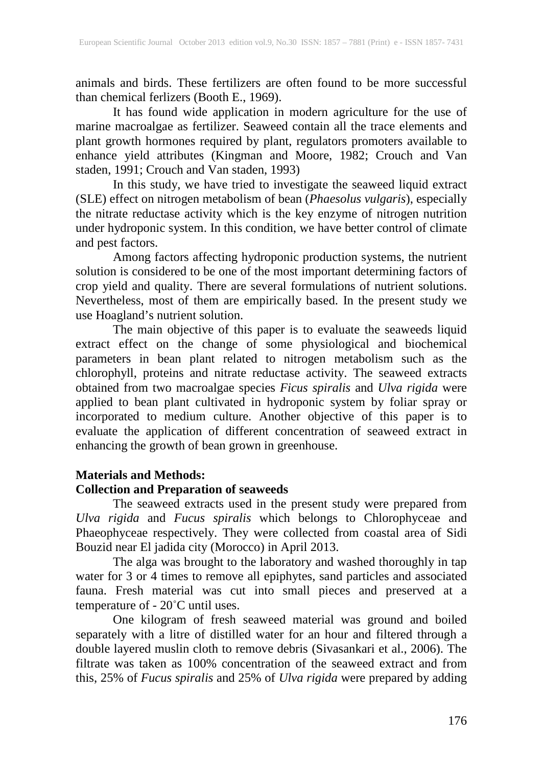animals and birds. These fertilizers are often found to be more successful than chemical ferlizers (Booth E., 1969).

It has found wide application in modern agriculture for the use of marine macroalgae as fertilizer. Seaweed contain all the trace elements and plant growth hormones required by plant, regulators promoters available to enhance yield attributes (Kingman and Moore, 1982; Crouch and Van staden, 1991; Crouch and Van staden, 1993)

In this study, we have tried to investigate the seaweed liquid extract (SLE) effect on nitrogen metabolism of bean (*Phaesolus vulgaris*), especially the nitrate reductase activity which is the key enzyme of nitrogen nutrition under hydroponic system. In this condition, we have better control of climate and pest factors.

Among factors affecting hydroponic production systems, the nutrient solution is considered to be one of the most important determining factors of crop yield and quality. There are several formulations of nutrient solutions. Nevertheless, most of them are empirically based. In the present study we use Hoagland's nutrient solution.

The main objective of this paper is to evaluate the seaweeds liquid extract effect on the change of some physiological and biochemical parameters in bean plant related to nitrogen metabolism such as the chlorophyll, proteins and nitrate reductase activity. The seaweed extracts obtained from two macroalgae species *Ficus spiralis* and *Ulva rigida* were applied to bean plant cultivated in hydroponic system by foliar spray or incorporated to medium culture. Another objective of this paper is to evaluate the application of different concentration of seaweed extract in enhancing the growth of bean grown in greenhouse.

# **Materials and Methods: Collection and Preparation of seaweeds**

The seaweed extracts used in the present study were prepared from *Ulva rigida* and *Fucus spiralis* which belongs to Chlorophyceae and Phaeophyceae respectively. They were collected from coastal area of Sidi Bouzid near El jadida city (Morocco) in April 2013.

The alga was brought to the laboratory and washed thoroughly in tap water for 3 or 4 times to remove all epiphytes, sand particles and associated fauna. Fresh material was cut into small pieces and preserved at a temperature of - 20˚C until uses.

One kilogram of fresh seaweed material was ground and boiled separately with a litre of distilled water for an hour and filtered through a double layered muslin cloth to remove debris (Sivasankari et al., 2006). The filtrate was taken as 100% concentration of the seaweed extract and from this, 25% of *Fucus spiralis* and 25% of *Ulva rigida* were prepared by adding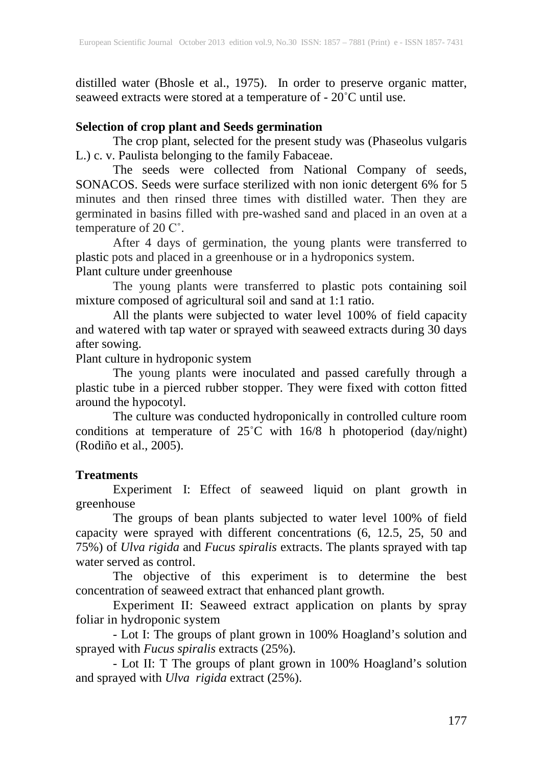distilled water (Bhosle et al., 1975). In order to preserve organic matter, seaweed extracts were stored at a temperature of - 20<sup>°</sup>C until use.

# **Selection of crop plant and Seeds germination**

The crop plant, selected for the present study was (Phaseolus vulgaris L.) c. v. Paulista belonging to the family Fabaceae.

The seeds were collected from National Company of seeds, SONACOS. Seeds were surface sterilized with non ionic detergent 6% for 5 minutes and then rinsed three times with distilled water. Then they are germinated in basins filled with pre-washed sand and placed in an oven at a temperature of 20 C˚.

After 4 days of germination, the young plants were transferred to plastic pots and placed in a greenhouse or in a hydroponics system.

Plant culture under greenhouse

The young plants were transferred to plastic pots containing soil mixture composed of agricultural soil and sand at 1:1 ratio.

All the plants were subjected to water level 100% of field capacity and watered with tap water or sprayed with seaweed extracts during 30 days after sowing.

Plant culture in hydroponic system

The young plants were inoculated and passed carefully through a plastic tube in a pierced rubber stopper. They were fixed with cotton fitted around the hypocotyl.

The culture was conducted hydroponically in controlled culture room conditions at temperature of  $25^{\circ}$ C with 16/8 h photoperiod (day/night) (Rodiño et al., 2005).

# **Treatments**

Experiment I: Effect of seaweed liquid on plant growth in greenhouse

The groups of bean plants subjected to water level 100% of field capacity were sprayed with different concentrations (6, 12.5, 25, 50 and 75%) of *Ulva rigida* and *Fucus spiralis* extracts. The plants sprayed with tap water served as control.

The objective of this experiment is to determine the best concentration of seaweed extract that enhanced plant growth.

Experiment II: Seaweed extract application on plants by spray foliar in hydroponic system

- Lot I: The groups of plant grown in 100% Hoagland's solution and sprayed with *Fucus spiralis* extracts (25%).

- Lot II: T The groups of plant grown in 100% Hoagland's solution and sprayed with *Ulva rigida* extract (25%).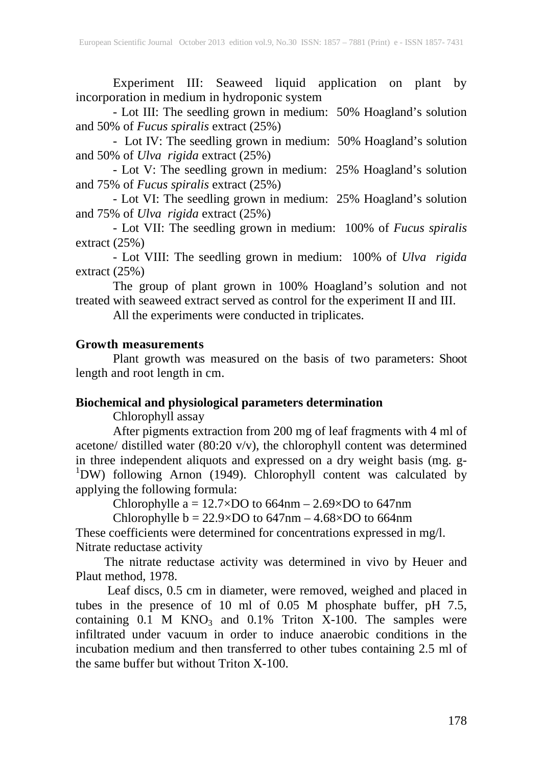Experiment III: Seaweed liquid application on plant by incorporation in medium in hydroponic system

- Lot III: The seedling grown in medium: 50% Hoagland's solution and 50% of *Fucus spiralis* extract (25%)

- Lot IV: The seedling grown in medium: 50% Hoagland's solution and 50% of *Ulva rigida* extract (25%)

- Lot V: The seedling grown in medium: 25% Hoagland's solution and 75% of *Fucus spiralis* extract (25%)

- Lot VI: The seedling grown in medium: 25% Hoagland's solution and 75% of *Ulva rigida* extract (25%)

- Lot VII: The seedling grown in medium: 100% of *Fucus spiralis* extract (25%)

- Lot VIII: The seedling grown in medium: 100% of *Ulva rigida* extract (25%)

The group of plant grown in 100% Hoagland's solution and not treated with seaweed extract served as control for the experiment II and III.

All the experiments were conducted in triplicates.

# **Growth measurements**

Plant growth was measured on the basis of two parameters: Shoot length and root length in cm.

# **Biochemical and physiological parameters determination**

Chlorophyll assay

After pigments extraction from 200 mg of leaf fragments with 4 ml of acetone/ distilled water (80:20 v/v), the chlorophyll content was determined in three independent aliquots and expressed on a dry weight basis (mg. g-<br><sup>1</sup>DW) following Arnon (1949). Chlorophyll content was calculated by applying the following formula:

Chlorophylle  $a = 12.7 \times DO$  to 664nm – 2.69 $\times DO$  to 647nm

Chlorophylle  $b = 22.9 \times DO$  to  $647$ nm  $- 4.68 \times DO$  to  $664$ nm

These coefficients were determined for concentrations expressed in mg/l. Nitrate reductase activity

 The nitrate reductase activity was determined in vivo by Heuer and Plaut method, 1978.

 Leaf discs, 0.5 cm in diameter, were removed, weighed and placed in tubes in the presence of 10 ml of 0.05 M phosphate buffer, pH 7.5, containing  $0.1$  M KNO<sub>3</sub> and  $0.1\%$  Triton X-100. The samples were infiltrated under vacuum in order to induce anaerobic conditions in the incubation medium and then transferred to other tubes containing 2.5 ml of the same buffer but without Triton X-100.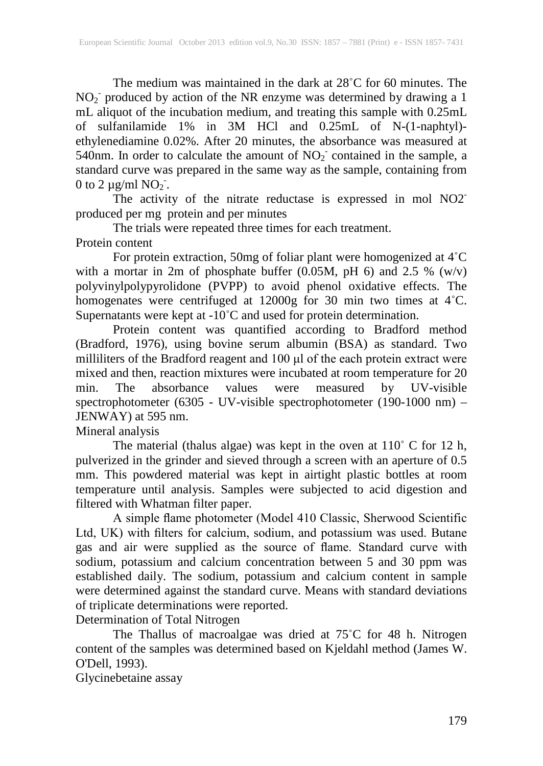The medium was maintained in the dark at 28˚C for 60 minutes. The  $NO<sub>2</sub>$  produced by action of the NR enzyme was determined by drawing a 1 mL aliquot of the incubation medium, and treating this sample with 0.25mL of sulfanilamide 1% in 3M HCl and 0.25mL of N-(1-naphtyl) ethylenediamine 0.02%. After 20 minutes, the absorbance was measured at 540nm. In order to calculate the amount of  $NO<sub>2</sub>$  contained in the sample, a standard curve was prepared in the same way as the sample, containing from 0 to 2  $\mu$ g/ml NO<sub>2</sub><sup>-</sup>.

The activity of the nitrate reductase is expressed in mol NO2<sup>-</sup> produced per mg protein and per minutes

The trials were repeated three times for each treatment. Protein content

For protein extraction, 50mg of foliar plant were homogenized at 4˚C with a mortar in 2m of phosphate buffer  $(0.05M, pH 6)$  and 2.5 %  $(w/v)$ polyvinylpolypyrolidone (PVPP) to avoid phenol oxidative effects. The homogenates were centrifuged at 12000g for 30 min two times at 4˚C. Supernatants were kept at  $-10^{\circ}$ C and used for protein determination.

Protein content was quantified according to Bradford method (Bradford, 1976), using bovine serum albumin (BSA) as standard. Two milliliters of the Bradford reagent and 100 μl of the each protein extract were mixed and then, reaction mixtures were incubated at room temperature for 20 min. The absorbance values were measured by UV-visible min. The absorbance values were measured by UV-visible spectrophotometer (6305 - UV-visible spectrophotometer (190-1000 nm) – JENWAY) at 595 nm.

Mineral analysis

The material (thalus algae) was kept in the oven at 110˚ C for 12 h, pulverized in the grinder and sieved through a screen with an aperture of 0.5 mm. This powdered material was kept in airtight plastic bottles at room temperature until analysis. Samples were subjected to acid digestion and filtered with Whatman filter paper.

A simple flame photometer (Model 410 Classic, Sherwood Scientific Ltd, UK) with filters for calcium, sodium, and potassium was used. Butane gas and air were supplied as the source of flame. Standard curve with sodium, potassium and calcium concentration between 5 and 30 ppm was established daily. The sodium, potassium and calcium content in sample were determined against the standard curve. Means with standard deviations of triplicate determinations were reported.

Determination of Total Nitrogen

The Thallus of macroalgae was dried at 75˚C for 48 h. Nitrogen content of the samples was determined based on Kjeldahl method (James W. O'Dell, 1993).

Glycinebetaine assay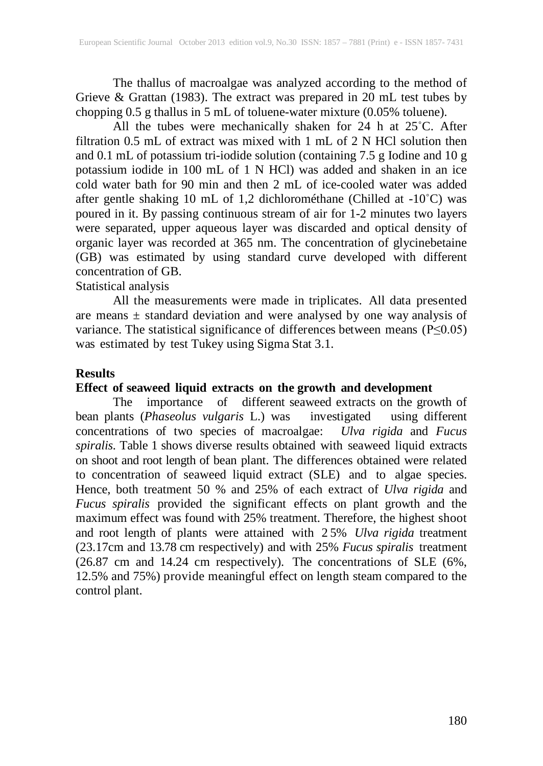The thallus of macroalgae was analyzed according to the method of Grieve & Grattan (1983). The extract was prepared in 20 mL test tubes by chopping 0.5 g thallus in 5 mL of toluene-water mixture (0.05% toluene).

All the tubes were mechanically shaken for 24 h at 25˚C. After filtration 0.5 mL of extract was mixed with 1 mL of 2 N HCl solution then and 0.1 mL of potassium tri-iodide solution (containing 7.5 g Iodine and 10 g potassium iodide in 100 mL of 1 N HCl) was added and shaken in an ice cold water bath for 90 min and then 2 mL of ice-cooled water was added after gentle shaking 10 mL of 1,2 dichlorométhane (Chilled at -10˚C) was poured in it. By passing continuous stream of air for 1-2 minutes two layers were separated, upper aqueous layer was discarded and optical density of organic layer was recorded at 365 nm. The concentration of glycinebetaine (GB) was estimated by using standard curve developed with different concentration of GB.

Statistical analysis

All the measurements were made in triplicates. All data presented are means  $\pm$  standard deviation and were analysed by one way analysis of variance. The statistical significance of differences between means (P≤0.05) was estimated by test Tukey using Sigma Stat 3.1.

#### **Results**

# **Effect of seaweed liquid extracts on the growth and development**

The importance of different seaweed extracts on the growth of bean plants (*Phaseolus vulgaris* L.) was investigated using different concentrations of two species of macroalgae: *Ulva rigida* and *Fucus spiralis.* Table 1 shows diverse results obtained with seaweed liquid extracts on shoot and root length of bean plant. The differences obtained were related to concentration of seaweed liquid extract (SLE) and to algae species. Hence, both treatment 50 % and 25% of each extract of *Ulva rigida* and *Fucus spiralis* provided the significant effects on plant growth and the maximum effect was found with 25% treatment. Therefore, the highest shoot and root length of plants were attained with 2 5% *Ulva rigida* treatment (23.17cm and 13.78 cm respectively) and with 25% *Fucus spiralis* treatment (26.87 cm and 14.24 cm respectively). The concentrations of SLE (6%, 12.5% and 75%) provide meaningful effect on length steam compared to the control plant.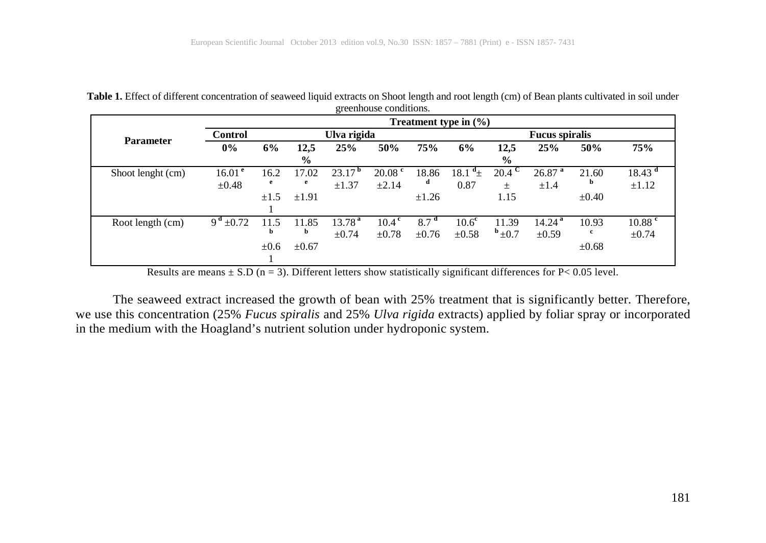| <b>Table 1.</b> Effect of different concentration of seaweed liquid extracts on Shoot length and root length (cm) of Bean plants cultivated in soil under |  |
|-----------------------------------------------------------------------------------------------------------------------------------------------------------|--|
| greenhouse conditions.                                                                                                                                    |  |
|                                                                                                                                                           |  |

|                   | Treatment type in $(\% )$ |           |               |                    |                    |                       |                   |               |                      |            |                    |
|-------------------|---------------------------|-----------|---------------|--------------------|--------------------|-----------------------|-------------------|---------------|----------------------|------------|--------------------|
| <b>Parameter</b>  | <b>Control</b>            |           | Ulva rigida   |                    |                    | <b>Fucus spiralis</b> |                   |               |                      |            |                    |
|                   | $0\%$                     | 6%        | 12,5          | 25%                | 50%                | 75%                   | 6%                | 12,5          | 25%                  | 50%        | 75%                |
|                   |                           |           | $\frac{6}{9}$ |                    |                    |                       |                   | $\frac{6}{9}$ |                      |            |                    |
| Shoot lenght (cm) | 16.01 <sup>e</sup>        | 16.2      | 17.02         | 23.17 <sup>b</sup> | 20.08 <sup>e</sup> | 18.86                 | $a_{+}$<br>18.1   | 20.4          | $26.87$ <sup>a</sup> | 21.60      | 18.43 <sup>d</sup> |
|                   | $\pm 0.48$                | e         | e             | $\pm 1.37$         | $\pm 2.14$         | d                     | 0.87              | $\pm$         | $\pm 1.4$            | b          | $\pm 1.12$         |
|                   |                           | $\pm 1.5$ | $\pm 1.91$    |                    |                    | $\pm 1.26$            |                   | 1.15          |                      | $\pm 0.40$ |                    |
|                   |                           |           |               |                    |                    |                       |                   |               |                      |            |                    |
| Root length (cm)  | $9^{\rm d}$ ±0.72         | 11.5      | 11.85         | 13.78 <sup>a</sup> | 10.4 <sup>c</sup>  | 8.7 <sup>d</sup>      | 10.6 <sup>c</sup> | 11.39         | 14.24 <sup>a</sup>   | 10.93      | $10.88$ c          |
|                   |                           | b         | b             | $\pm 0.74$         | $\pm 0.78$         | $\pm 0.76$            | $\pm 0.58$        | $b_{\pm 0.7}$ | $\pm 0.59$           | c          | $\pm 0.74$         |
|                   |                           | $\pm 0.6$ | $\pm 0.67$    |                    |                    |                       |                   |               |                      | $\pm 0.68$ |                    |
|                   |                           |           |               |                    |                    |                       |                   |               |                      |            |                    |

Results are means  $\pm$  S.D (n = 3). Different letters show statistically significant differences for P< 0.05 level.

The seaweed extract increased the growth of bean with 25% treatment that is significantly better. Therefore, we use this concentration (25% *Fucus spiralis* and 25% *Ulva rigida* extracts) applied by foliar spray or incorporated in the medium with the Hoagland's nutrient solution under hydroponic system.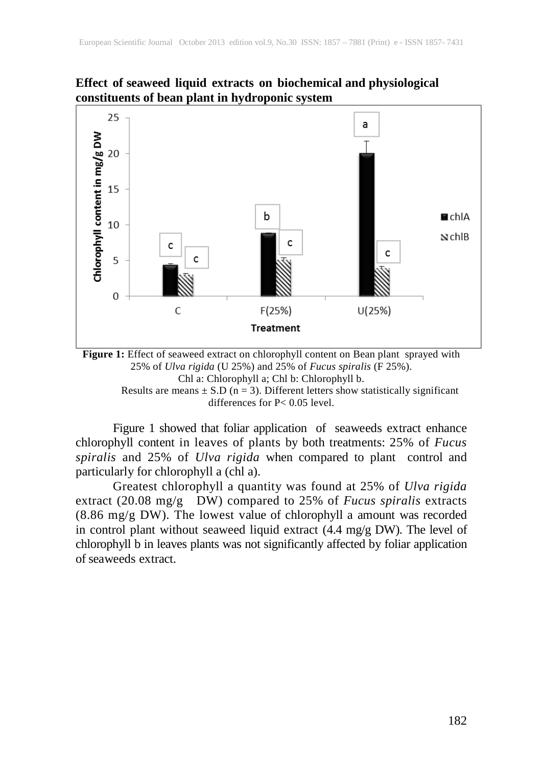#### **Effect of seaweed liquid extracts on biochemical and physiological constituents of bean plant in hydroponic system**





differences for P< 0.05 level.

Figure 1 showed that foliar application of seaweeds extract enhance chlorophyll content in leaves of plants by both treatments: 25% of *Fucus spiralis* and 25% of *Ulva rigida* when compared to plant control and particularly for chlorophyll a (chl a).

Greatest chlorophyll a quantity was found at 25% of *Ulva rigida* extract (20.08 mg/g DW) compared to 25% of *Fucus spiralis* extracts (8.86 mg/g DW). The lowest value of chlorophyll a amount was recorded in control plant without seaweed liquid extract (4.4 mg/g DW). The level of chlorophyll b in leaves plants was not significantly affected by foliar application of seaweeds extract.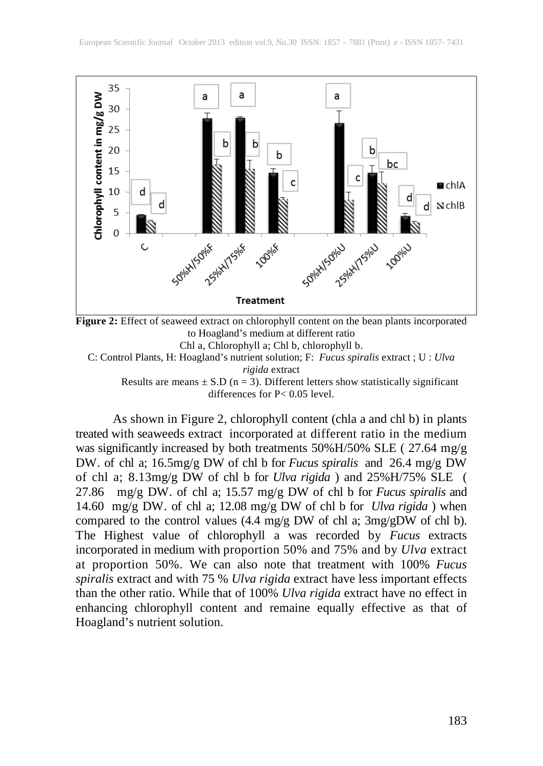

**Figure 2:** Effect of seaweed extract on chlorophyll content on the bean plants incorporated to Hoagland's medium at different ratio Chl a, Chlorophyll a; Chl b, chlorophyll b. C: Control Plants, H: Hoagland's nutrient solution; F: *Fucus spiralis* extract ; U : *Ulva* 

*rigida* extract

Results are means  $\pm$  S.D (n = 3). Different letters show statistically significant differences for P< 0.05 level.

As shown in Figure 2, chlorophyll content (chla a and chl b) in plants treated with seaweeds extract incorporated at different ratio in the medium was significantly increased by both treatments 50%H/50% SLE ( 27.64 mg/g DW. of chl a; 16.5mg/g DW of chl b for *Fucus spiralis* and 26.4 mg/g DW of chl a; 8.13mg/g DW of chl b for *Ulva rigida* ) and 25%H/75% SLE ( 27.86 mg/g DW. of chl a; 15.57 mg/g DW of chl b for *Fucus spiralis* and 14.60 mg/g DW. of chl a; 12.08 mg/g DW of chl b for *Ulva rigida* ) when compared to the control values (4.4 mg/g DW of chl a; 3mg/gDW of chl b). The Highest value of chlorophyll a was recorded by *Fucus* extracts incorporated in medium with proportion 50% and 75% and by *Ulva* extract at proportion 50%. We can also note that treatment with 100% *Fucus spiralis* extract and with 75 % *Ulva rigida* extract have less important effects than the other ratio. While that of 100% *Ulva rigida* extract have no effect in enhancing chlorophyll content and remaine equally effective as that of Hoagland's nutrient solution.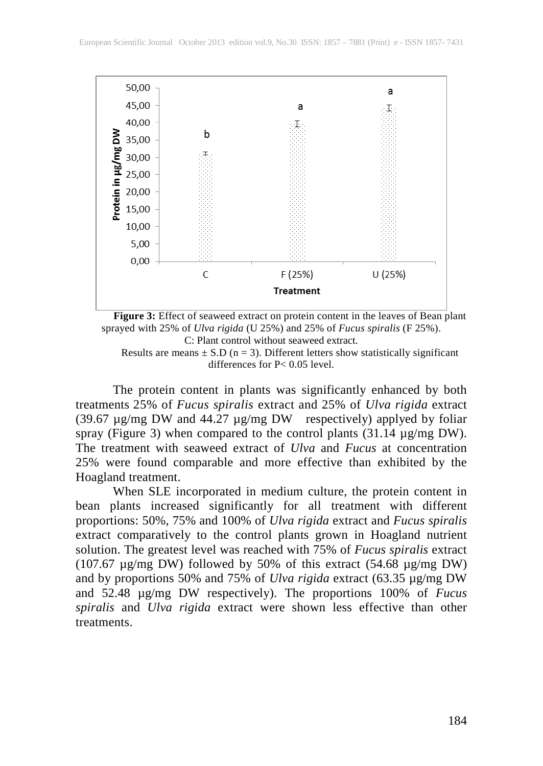

**Figure 3:** Effect of seaweed extract on protein content in the leaves of Bean plant sprayed with 25% of *Ulva rigida* (U 25%) and 25% of *Fucus spiralis* (F 25%). C: Plant control without seaweed extract.

Results are means  $\pm$  S.D (n = 3). Different letters show statistically significant differences for P< 0.05 level.

The protein content in plants was significantly enhanced by both treatments 25% of *Fucus spiralis* extract and 25% of *Ulva rigida* extract (39.67  $\mu$ g/mg DW and 44.27  $\mu$ g/mg DW respectively) applyed by foliar spray (Figure 3) when compared to the control plants  $(31.14 \mu g/mg DW)$ . The treatment with seaweed extract of *Ulva* and *Fucus* at concentration 25% were found comparable and more effective than exhibited by the Hoagland treatment.

When SLE incorporated in medium culture, the protein content in bean plants increased significantly for all treatment with different proportions: 50%, 75% and 100% of *Ulva rigida* extract and *Fucus spiralis*  extract comparatively to the control plants grown in Hoagland nutrient solution. The greatest level was reached with 75% of *Fucus spiralis* extract (107.67 µg/mg DW) followed by 50% of this extract (54.68 µg/mg DW) and by proportions 50% and 75% of *Ulva rigida* extract (63.35 µg/mg DW and 52.48 µg/mg DW respectively). The proportions 100% of *Fucus spiralis* and *Ulva rigida* extract were shown less effective than other treatments.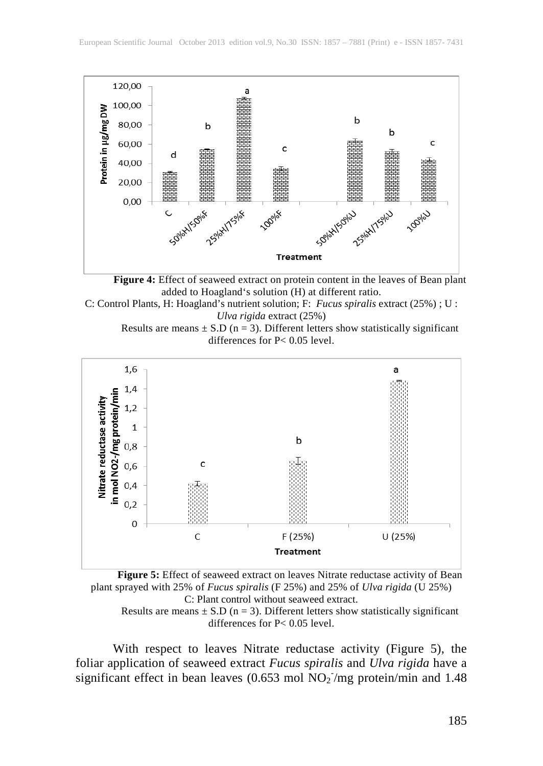

**Figure 4:** Effect of seaweed extract on protein content in the leaves of Bean plant added to Hoagland's solution (H) at different ratio.

C: Control Plants, H: Hoagland's nutrient solution; F: *Fucus spiralis* extract (25%) ; U : *Ulva rigida* extract (25%)

Results are means  $\pm$  S.D (n = 3). Different letters show statistically significant differences for P< 0.05 level.



**Figure 5:** Effect of seaweed extract on leaves Nitrate reductase activity of Bean plant sprayed with 25% of *Fucus spiralis* (F 25%) and 25% of *Ulva rigida* (U 25%) C: Plant control without seaweed extract.

Results are means  $\pm$  S.D (n = 3). Different letters show statistically significant differences for P< 0.05 level.

With respect to leaves Nitrate reductase activity (Figure 5), the foliar application of seaweed extract *Fucus spiralis* and *Ulva rigida* have a significant effect in bean leaves (0.653 mol  $NO<sub>2</sub>$ /mg protein/min and 1.48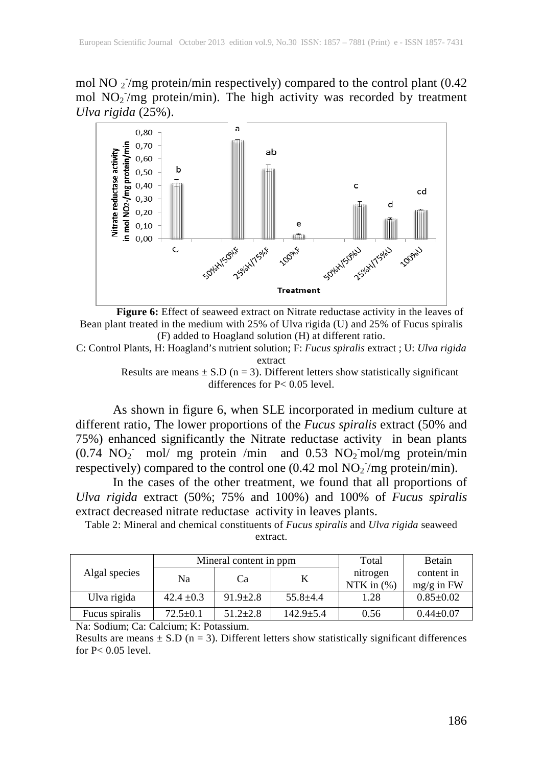mol NO  $_2$ /mg protein/min respectively) compared to the control plant (0.42 mol NO<sub>2</sub>/mg protein/min). The high activity was recorded by treatment *Ulva rigida* (25%).



**Figure 6:** Effect of seaweed extract on Nitrate reductase activity in the leaves of Bean plant treated in the medium with 25% of Ulva rigida (U) and 25% of Fucus spiralis (F) added to Hoagland solution (H) at different ratio.

C: Control Plants, H: Hoagland's nutrient solution; F: *Fucus spiralis* extract ; U: *Ulva rigida* extract

> Results are means  $\pm$  S.D (n = 3). Different letters show statistically significant differences for P< 0.05 level.

As shown in figure 6, when SLE incorporated in medium culture at different ratio, The lower proportions of the *Fucus spiralis* extract (50% and 75%) enhanced significantly the Nitrate reductase activity in bean plants  $(0.74 \text{ NO}_2 \cdot \text{mol/mg}$  protein /min and 0.53 NO<sub>2</sub> mol/mg protein/min respectively) compared to the control one  $(0.42 \text{ mol NO}_2/\text{mg protein/min})$ .

In the cases of the other treatment, we found that all proportions of *Ulva rigida* extract (50%; 75% and 100%) and 100% of *Fucus spiralis* extract decreased nitrate reductase activity in leaves plants.

Table 2: Mineral and chemical constituents of *Fucus spiralis* and *Ulva rigida* seaweed extract.

|                |                | Mineral content in ppm | Total         | Betain                    |                            |
|----------------|----------------|------------------------|---------------|---------------------------|----------------------------|
| Algal species  | Na             | Cа                     |               | nitrogen<br>NTK in $(\%)$ | content in<br>$mg/g$ in FW |
| Ulva rigida    | $42.4 \pm 0.3$ | $91.9 \pm 2.8$         | $55.8 + 4.4$  | 1.28                      | $0.85 \pm 0.02$            |
| Fucus spiralis | $72.5 \pm 0.1$ | $51.2 + 2.8$           | $142.9 + 5.4$ | 0.56                      | $0.44 + 0.07$              |

Na: Sodium; Ca: Calcium; K: Potassium.

Results are means  $\pm$  S.D (n = 3). Different letters show statistically significant differences for P< 0.05 level.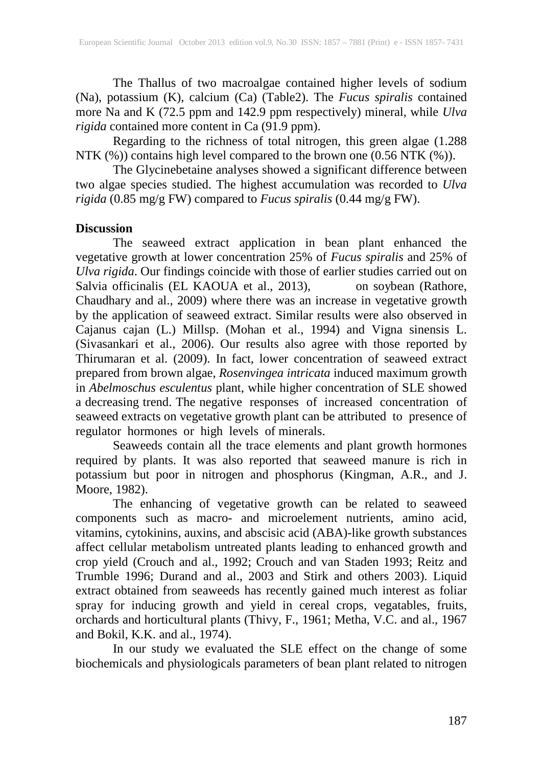The Thallus of two macroalgae contained higher levels of sodium (Na), potassium (K), calcium (Ca) (Table2). The *Fucus spiralis* contained more Na and K (72.5 ppm and 142.9 ppm respectively) mineral, while *Ulva rigida* contained more content in Ca (91.9 ppm).

Regarding to the richness of total nitrogen, this green algae (1.288 NTK (%)) contains high level compared to the brown one (0.56 NTK (%)).

The Glycinebetaine analyses showed a significant difference between two algae species studied. The highest accumulation was recorded to *Ulva rigida* (0.85 mg/g FW) compared to *Fucus spiralis* (0.44 mg/g FW).

#### **Discussion**

The seaweed extract application in bean plant enhanced the vegetative growth at lower concentration 25% of *Fucus spiralis* and 25% of *Ulva rigida*. Our findings coincide with those of earlier studies carried out on Salvia officinalis (EL KAOUA et al., 2013), on soybean (Rathore, Chaudhary and al., 2009) where there was an increase in vegetative growth by the application of seaweed extract. Similar results were also observed in Cajanus cajan (L.) Millsp. (Mohan et al., 1994) and Vigna sinensis L. (Sivasankari et al., 2006). Our results also agree with those reported by Thirumaran et al. (2009). In fact, lower concentration of seaweed extract prepared from brown algae, *Rosenvingea intricata* induced maximum growth in *Abelmoschus esculentus* plant, while higher concentration of SLE showed a decreasing trend. The negative responses of increased concentration of seaweed extracts on vegetative growth plant can be attributed to presence of regulator hormones or high levels of minerals.

Seaweeds contain all the trace elements and plant growth hormones required by plants. It was also reported that seaweed manure is rich in potassium but poor in nitrogen and phosphorus (Kingman, A.R., and J. Moore, 1982).

The enhancing of vegetative growth can be related to seaweed components such as macro- and microelement nutrients, amino acid, vitamins, cytokinins, auxins, and abscisic acid (ABA)-like growth substances affect cellular metabolism untreated plants leading to enhanced growth and crop yield (Crouch and al., 1992; Crouch and van Staden 1993; Reitz and Trumble 1996; Durand and al., 2003 and Stirk and others 2003). Liquid extract obtained from seaweeds has recently gained much interest as foliar spray for inducing growth and yield in cereal crops, vegatables, fruits, orchards and horticultural plants (Thivy, F., 1961; Metha, V.C. and al., 1967 and Bokil, K.K. and al., 1974).

In our study we evaluated the SLE effect on the change of some biochemicals and physiologicals parameters of bean plant related to nitrogen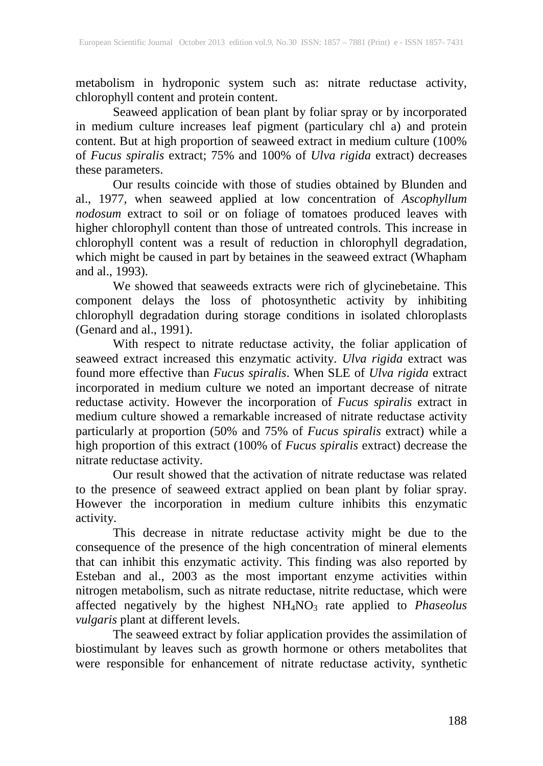metabolism in hydroponic system such as: nitrate reductase activity, chlorophyll content and protein content.

Seaweed application of bean plant by foliar spray or by incorporated in medium culture increases leaf pigment (particulary chl a) and protein content. But at high proportion of seaweed extract in medium culture (100% of *Fucus spiralis* extract; 75% and 100% of *Ulva rigida* extract) decreases these parameters.

Our results coincide with those of studies obtained by Blunden and al., 1977, when seaweed applied at low concentration of *Ascophyllum nodosum* extract to soil or on foliage of tomatoes produced leaves with higher chlorophyll content than those of untreated controls. This increase in chlorophyll content was a result of reduction in chlorophyll degradation, which might be caused in part by betaines in the seaweed extract (Whapham and al., 1993).

We showed that seaweeds extracts were rich of glycinebetaine. This component delays the loss of photosynthetic activity by inhibiting chlorophyll degradation during storage conditions in isolated chloroplasts (Genard and al., 1991).

With respect to nitrate reductase activity, the foliar application of seaweed extract increased this enzymatic activity. *Ulva rigida* extract was found more effective than *Fucus spiralis*. When SLE of *Ulva rigida* extract incorporated in medium culture we noted an important decrease of nitrate reductase activity. However the incorporation of *Fucus spiralis* extract in medium culture showed a remarkable increased of nitrate reductase activity particularly at proportion (50% and 75% of *Fucus spiralis* extract) while a high proportion of this extract (100% of *Fucus spiralis* extract) decrease the nitrate reductase activity.

Our result showed that the activation of nitrate reductase was related to the presence of seaweed extract applied on bean plant by foliar spray. However the incorporation in medium culture inhibits this enzymatic activity.

This decrease in nitrate reductase activity might be due to the consequence of the presence of the high concentration of mineral elements that can inhibit this enzymatic activity. This finding was also reported by Esteban and al., 2003 as the most important enzyme activities within nitrogen metabolism, such as nitrate reductase, nitrite reductase, which were affected negatively by the highest NH<sub>4</sub>NO<sub>3</sub> rate applied to *Phaseolus vulgaris* plant at different levels.

The seaweed extract by foliar application provides the assimilation of biostimulant by leaves such as growth hormone or others metabolites that were responsible for enhancement of nitrate reductase activity, synthetic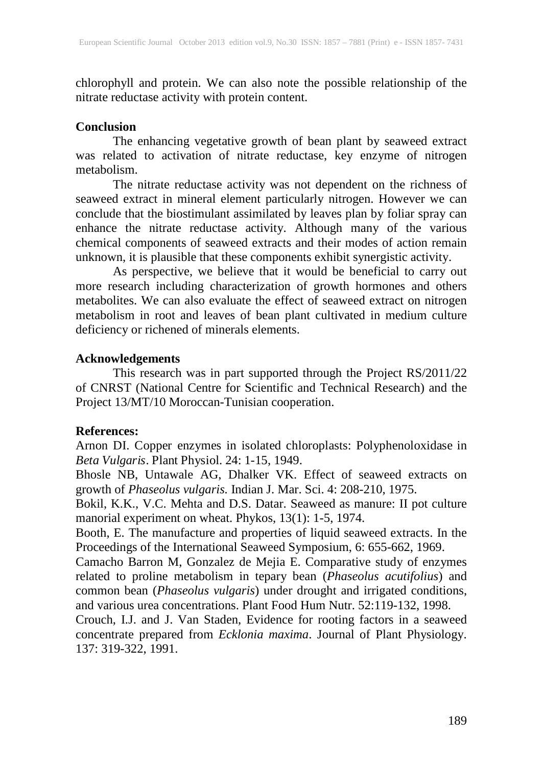chlorophyll and protein. We can also note the possible relationship of the nitrate reductase activity with protein content.

#### **Conclusion**

The enhancing vegetative growth of bean plant by seaweed extract was related to activation of nitrate reductase, key enzyme of nitrogen metabolism.

The nitrate reductase activity was not dependent on the richness of seaweed extract in mineral element particularly nitrogen. However we can conclude that the biostimulant assimilated by leaves plan by foliar spray can enhance the nitrate reductase activity. Although many of the various chemical components of seaweed extracts and their modes of action remain unknown, it is plausible that these components exhibit synergistic activity.

As perspective, we believe that it would be beneficial to carry out more research including characterization of growth hormones and others metabolites. We can also evaluate the effect of seaweed extract on nitrogen metabolism in root and leaves of bean plant cultivated in medium culture deficiency or richened of minerals elements.

#### **Acknowledgements**

This research was in part supported through the Project RS/2011/22 of CNRST (National Centre for Scientific and Technical Research) and the Project 13/MT/10 Moroccan-Tunisian cooperation.

# **References:**

Arnon DI. Copper enzymes in isolated chloroplasts: Polyphenoloxidase in *Beta Vulgaris*. Plant Physiol. 24: 1-15, 1949.

Bhosle NB, Untawale AG, Dhalker VK. Effect of seaweed extracts on growth of *Phaseolus vulgaris.* Indian J. Mar. Sci. 4: 208-210, 1975.

Bokil, K.K., V.C. Mehta and D.S. Datar. Seaweed as manure: II pot culture manorial experiment on wheat. Phykos, 13(1): 1-5, 1974.

Booth, E. The manufacture and properties of liquid seaweed extracts. In the Proceedings of the International Seaweed Symposium, 6: 655-662, 1969.

Camacho Barron M, Gonzalez de Mejia E. Comparative study of enzymes related to proline metabolism in tepary bean (*Phaseolus acutifolius*) and common bean (*Phaseolus vulgaris*) under drought and irrigated conditions, and various urea concentrations. Plant Food Hum Nutr. 52:119-132, 1998.

Crouch, I.J. and J. Van Staden, Evidence for rooting factors in a seaweed concentrate prepared from *Ecklonia maxima*. Journal of Plant Physiology. 137: 319-322, 1991.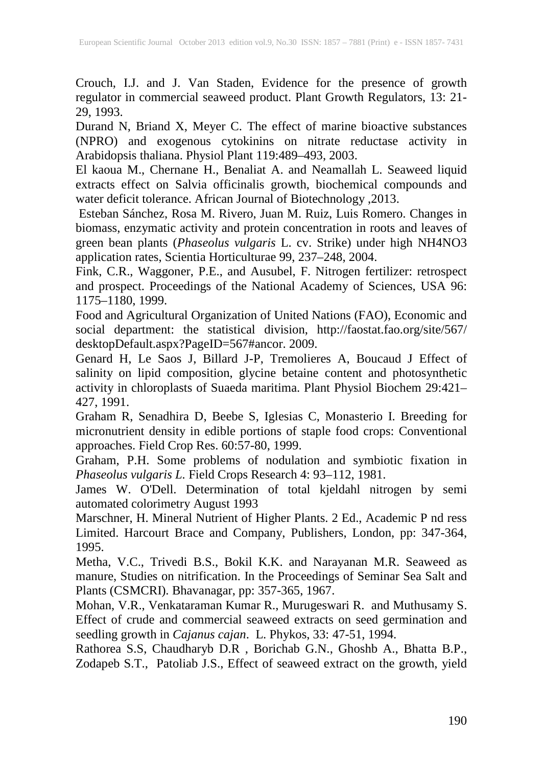Crouch, I.J. and J. Van Staden, Evidence for the presence of growth regulator in commercial seaweed product. Plant Growth Regulators, 13: 21- 29, 1993.

Durand N, Briand X, Meyer C. The effect of marine bioactive substances (NPRO) and exogenous cytokinins on nitrate reductase activity in Arabidopsis thaliana. Physiol Plant 119:489–493, 2003.

El kaoua M., Chernane H., Benaliat A. and Neamallah L. Seaweed liquid extracts effect on Salvia officinalis growth, biochemical compounds and water deficit tolerance. African Journal of Biotechnology ,2013.

Esteban Sánchez, Rosa M. Rivero, Juan M. Ruiz, Luis Romero. Changes in biomass, enzymatic activity and protein concentration in roots and leaves of green bean plants (*Phaseolus vulgaris* L. cv. Strike) under high NH4NO3 application rates, Scientia Horticulturae 99, 237–248, 2004.

Fink, C.R., Waggoner, P.E., and Ausubel, F. Nitrogen fertilizer: retrospect and prospect. Proceedings of the National Academy of Sciences, USA 96: 1175–1180, 1999.

Food and Agricultural Organization of United Nations (FAO), Economic and social department: the statistical division, http://faostat.fao.org/site/567/ desktopDefault.aspx?PageID=567#ancor. 2009.

Genard H, Le Saos J, Billard J-P, Tremolieres A, Boucaud J Effect of salinity on lipid composition, glycine betaine content and photosynthetic activity in chloroplasts of Suaeda maritima. Plant Physiol Biochem 29:421– 427, 1991.

Graham R, Senadhira D, Beebe S, Iglesias C, Monasterio I. Breeding for micronutrient density in edible portions of staple food crops: Conventional approaches. Field Crop Res. 60:57-80, 1999.

Graham, P.H. Some problems of nodulation and symbiotic fixation in *Phaseolus vulgaris L.* Field Crops Research 4: 93–112, 1981.

James W. O'Dell. Determination of total kjeldahl nitrogen by semi automated colorimetry August 1993

Marschner, H. Mineral Nutrient of Higher Plants. 2 Ed., Academic P nd ress Limited. Harcourt Brace and Company, Publishers, London, pp: 347-364, 1995.

Metha, V.C., Trivedi B.S., Bokil K.K. and Narayanan M.R. Seaweed as manure, Studies on nitrification. In the Proceedings of Seminar Sea Salt and Plants (CSMCRI). Bhavanagar, pp: 357-365, 1967.

Mohan, V.R., Venkataraman Kumar R., Murugeswari R. and Muthusamy S. Effect of crude and commercial seaweed extracts on seed germination and seedling growth in *Cajanus cajan*. L. Phykos, 33: 47-51, 1994.

Rathorea S.S, Chaudharyb D.R , Borichab G.N., Ghoshb A., Bhatta B.P., Zodapeb S.T., Patoliab J.S., Effect of seaweed extract on the growth, yield